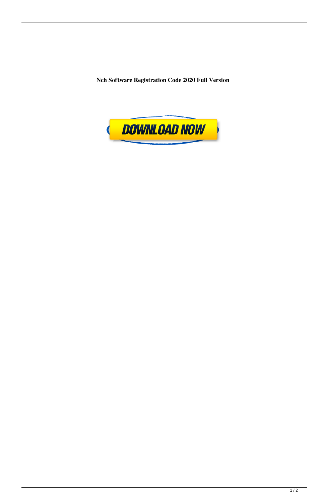**Nch Software Registration Code 2020 Full Version**